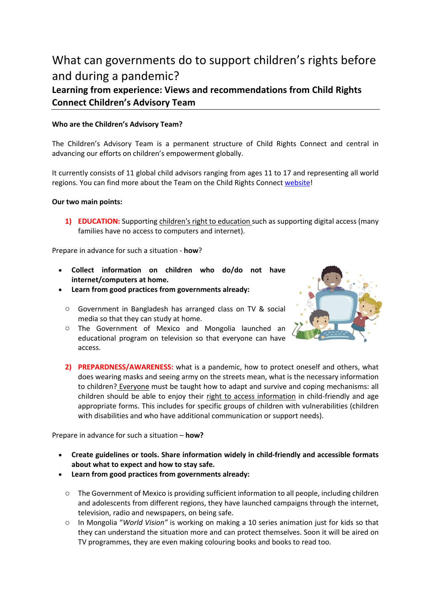# What can governments do to support children's rights before and during a pandemic?

## **Learning from experience: Views and recommendations from Child Rights Connect Children's Advisory Team**

### **Who are the Children's Advisory Team?**

The Children's Advisory Team is a permanent structure of Child Rights Connect and central in advancing our efforts on children's empowerment globally.

It currently consists of 11 global child advisors ranging from ages 11 to 17 and representing all world regions. You can find more about the Team on the Child Rights Connect website!

#### **Our two main points:**

1) **EDUCATION:** Supporting children's right to education such as supporting digital access (many families have no access to computers and internet).

Prepare in advance for such a situation - **how**?

- **Collect information on children who do/do not have internet/computers at home.**
- **Learn from good practices from governments already:** 
	- o Government in Bangladesh has arranged class on TV & social media so that they can study at home.
	- o The Government of Mexico and Mongolia launched an educational program on television so that everyone can have access.



**2) PREPARDNESS/AWARENESS:** what is a pandemic, how to protect oneself and others, what does wearing masks and seeing army on the streets mean, what is the necessary information to children? Everyone must be taught how to adapt and survive and coping mechanisms: all children should be able to enjoy their right to access information in child-friendly and age appropriate forms. This includes for specific groups of children with vulnerabilities (children with disabilities and who have additional communication or support needs).

Prepare in advance for such a situation – **how?** 

- **Create guidelines or tools. Share information widely in child-friendly and accessible formats about what to expect and how to stay safe.**
- **Learn from good practices from governments already:** 
	- o The Government of Mexico is providing sufficient information to all people, including children and adolescents from different regions, they have launched campaigns through the internet, television, radio and newspapers, on being safe.
	- o In Mongolia "*World Vision"* is working on making a 10 series animation just for kids so that they can understand the situation more and can protect themselves. Soon it will be aired on TV programmes, they are even making colouring books and books to read too.